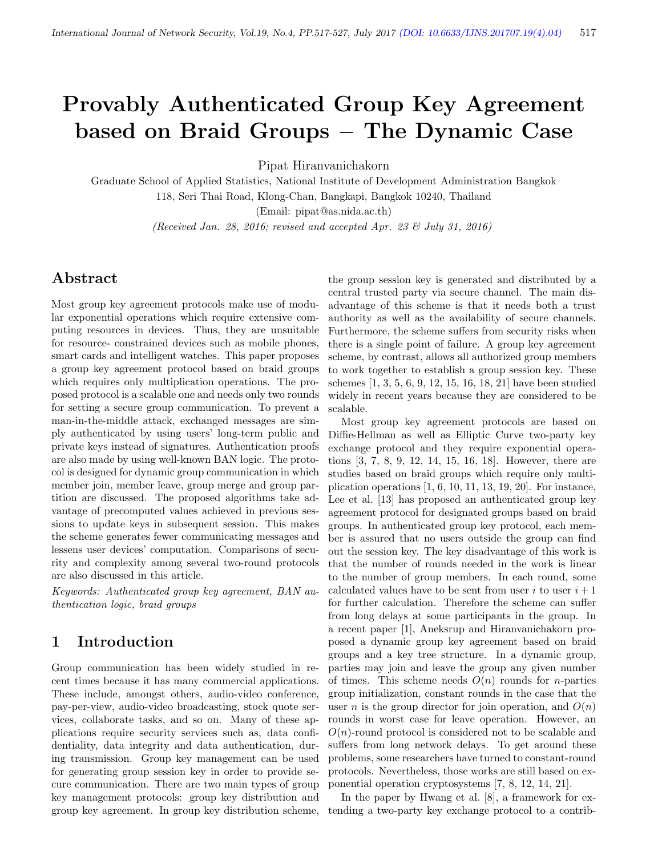# Provably Authenticated Group Key Agreement based on Braid Groups − The Dynamic Case

Pipat Hiranvanichakorn

Graduate School of Applied Statistics, National Institute of Development Administration Bangkok 118, Seri Thai Road, Klong-Chan, Bangkapi, Bangkok 10240, Thailand

(Email: pipat@as.nida.ac.th)

(Received Jan. 28, 2016; revised and accepted Apr. 23 & July 31, 2016)

### Abstract

Most group key agreement protocols make use of modular exponential operations which require extensive computing resources in devices. Thus, they are unsuitable for resource- constrained devices such as mobile phones, smart cards and intelligent watches. This paper proposes a group key agreement protocol based on braid groups which requires only multiplication operations. The proposed protocol is a scalable one and needs only two rounds for setting a secure group communication. To prevent a man-in-the-middle attack, exchanged messages are simply authenticated by using users' long-term public and private keys instead of signatures. Authentication proofs are also made by using well-known BAN logic. The protocol is designed for dynamic group communication in which member join, member leave, group merge and group partition are discussed. The proposed algorithms take advantage of precomputed values achieved in previous sessions to update keys in subsequent session. This makes the scheme generates fewer communicating messages and lessens user devices' computation. Comparisons of security and complexity among several two-round protocols are also discussed in this article.

Keywords: Authenticated group key agreement, BAN authentication logic, braid groups

### 1 Introduction

Group communication has been widely studied in recent times because it has many commercial applications. These include, amongst others, audio-video conference, pay-per-view, audio-video broadcasting, stock quote services, collaborate tasks, and so on. Many of these applications require security services such as, data confidentiality, data integrity and data authentication, during transmission. Group key management can be used for generating group session key in order to provide secure communication. There are two main types of group key management protocols: group key distribution and group key agreement. In group key distribution scheme,

the group session key is generated and distributed by a central trusted party via secure channel. The main disadvantage of this scheme is that it needs both a trust authority as well as the availability of secure channels. Furthermore, the scheme suffers from security risks when there is a single point of failure. A group key agreement scheme, by contrast, allows all authorized group members to work together to establish a group session key. These schemes [1, 3, 5, 6, 9, 12, 15, 16, 18, 21] have been studied widely in recent years because they are considered to be scalable.

Most group key agreement protocols are based on Diffie-Hellman as well as Elliptic Curve two-party key exchange protocol and they require exponential operations [3, 7, 8, 9, 12, 14, 15, 16, 18]. However, there are studies based on braid groups which require only multiplication operations [1, 6, 10, 11, 13, 19, 20]. For instance, Lee et al. [13] has proposed an authenticated group key agreement protocol for designated groups based on braid groups. In authenticated group key protocol, each member is assured that no users outside the group can find out the session key. The key disadvantage of this work is that the number of rounds needed in the work is linear to the number of group members. In each round, some calculated values have to be sent from user i to user  $i+1$ for further calculation. Therefore the scheme can suffer from long delays at some participants in the group. In a recent paper [1], Aneksrup and Hiranvanichakorn proposed a dynamic group key agreement based on braid groups and a key tree structure. In a dynamic group, parties may join and leave the group any given number of times. This scheme needs  $O(n)$  rounds for *n*-parties group initialization, constant rounds in the case that the user *n* is the group director for join operation, and  $O(n)$ rounds in worst case for leave operation. However, an  $O(n)$ -round protocol is considered not to be scalable and suffers from long network delays. To get around these problems, some researchers have turned to constant-round protocols. Nevertheless, those works are still based on exponential operation cryptosystems [7, 8, 12, 14, 21].

In the paper by Hwang et al. [8], a framework for extending a two-party key exchange protocol to a contrib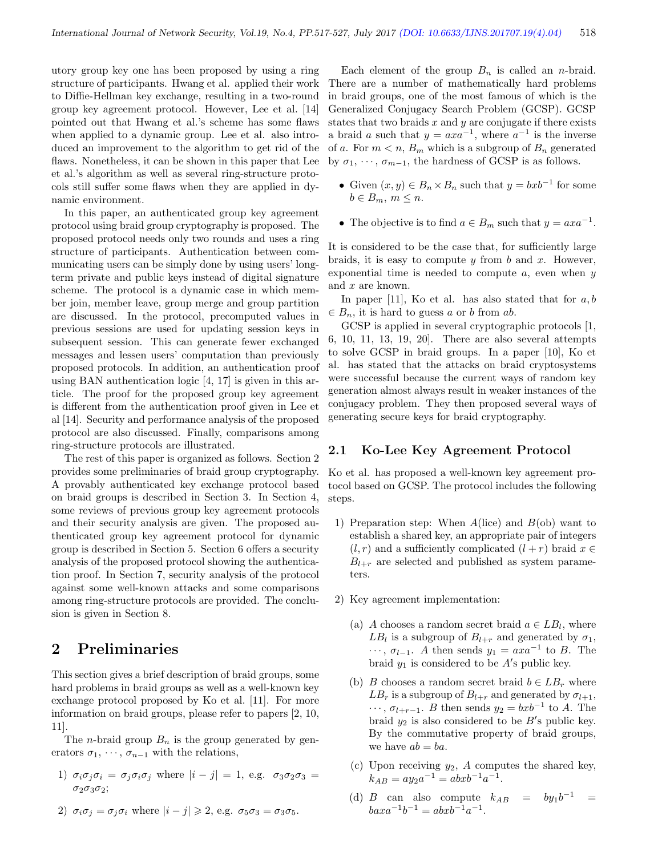utory group key one has been proposed by using a ring structure of participants. Hwang et al. applied their work to Diffie-Hellman key exchange, resulting in a two-round group key agreement protocol. However, Lee et al. [14] pointed out that Hwang et al.'s scheme has some flaws when applied to a dynamic group. Lee et al. also introduced an improvement to the algorithm to get rid of the flaws. Nonetheless, it can be shown in this paper that Lee et al.'s algorithm as well as several ring-structure protocols still suffer some flaws when they are applied in dynamic environment.

In this paper, an authenticated group key agreement protocol using braid group cryptography is proposed. The proposed protocol needs only two rounds and uses a ring structure of participants. Authentication between communicating users can be simply done by using users' longterm private and public keys instead of digital signature scheme. The protocol is a dynamic case in which member join, member leave, group merge and group partition are discussed. In the protocol, precomputed values in previous sessions are used for updating session keys in subsequent session. This can generate fewer exchanged messages and lessen users' computation than previously proposed protocols. In addition, an authentication proof using BAN authentication logic [4, 17] is given in this article. The proof for the proposed group key agreement is different from the authentication proof given in Lee et al [14]. Security and performance analysis of the proposed protocol are also discussed. Finally, comparisons among ring-structure protocols are illustrated.

The rest of this paper is organized as follows. Section 2 provides some preliminaries of braid group cryptography. A provably authenticated key exchange protocol based on braid groups is described in Section 3. In Section 4, some reviews of previous group key agreement protocols and their security analysis are given. The proposed authenticated group key agreement protocol for dynamic group is described in Section 5. Section 6 offers a security analysis of the proposed protocol showing the authentication proof. In Section 7, security analysis of the protocol against some well-known attacks and some comparisons among ring-structure protocols are provided. The conclusion is given in Section 8.

# 2 Preliminaries

This section gives a brief description of braid groups, some hard problems in braid groups as well as a well-known key exchange protocol proposed by Ko et al. [11]. For more information on braid groups, please refer to papers [2, 10, 11].

The *n*-braid group  $B_n$  is the group generated by generators  $\sigma_1, \cdots, \sigma_{n-1}$  with the relations,

- 1)  $\sigma_i \sigma_j \sigma_i = \sigma_j \sigma_i \sigma_j$  where  $|i j| = 1$ , e.g.  $\sigma_3 \sigma_2 \sigma_3 =$  $\sigma_2\sigma_3\sigma_2$ ;
- 2)  $\sigma_i \sigma_j = \sigma_j \sigma_i$  where  $|i j| \geqslant 2$ , e.g.  $\sigma_5 \sigma_3 = \sigma_3 \sigma_5$ .

Each element of the group  $B_n$  is called an *n*-braid. There are a number of mathematically hard problems in braid groups, one of the most famous of which is the Generalized Conjugacy Search Problem (GCSP). GCSP states that two braids  $x$  and  $y$  are conjugate if there exists a braid a such that  $y = axa^{-1}$ , where  $a^{-1}$  is the inverse of a. For  $m < n$ ,  $B_m$  which is a subgroup of  $B_n$  generated by  $\sigma_1, \cdots, \sigma_{m-1}$ , the hardness of GCSP is as follows.

- Given  $(x, y) \in B_n \times B_n$  such that  $y = bxb^{-1}$  for some  $b \in B_m$ ,  $m \leq n$ .
- The objective is to find  $a \in B_m$  such that  $y = axa^{-1}$ .

It is considered to be the case that, for sufficiently large braids, it is easy to compute  $y$  from  $b$  and  $x$ . However, exponential time is needed to compute  $a$ , even when  $y$ and x are known.

In paper [11], Ko et al. has also stated that for  $a, b$  $\in B_n$ , it is hard to guess a or b from ab.

GCSP is applied in several cryptographic protocols [1, 6, 10, 11, 13, 19, 20]. There are also several attempts to solve GCSP in braid groups. In a paper [10], Ko et al. has stated that the attacks on braid cryptosystems were successful because the current ways of random key generation almost always result in weaker instances of the conjugacy problem. They then proposed several ways of generating secure keys for braid cryptography.

#### 2.1 Ko-Lee Key Agreement Protocol

Ko et al. has proposed a well-known key agreement protocol based on GCSP. The protocol includes the following steps.

- 1) Preparation step: When  $A($ lice) and  $B($ ob) want to establish a shared key, an appropriate pair of integers  $(l, r)$  and a sufficiently complicated  $(l + r)$  braid  $x \in$  $B_{l+r}$  are selected and published as system parameters.
- 2) Key agreement implementation:
	- (a) A chooses a random secret braid  $a \in LB_l$ , where  $LB_l$  is a subgroup of  $B_{l+r}$  and generated by  $\sigma_1$ ,  $\cdots$ ,  $\sigma_{l-1}$ . A then sends  $y_1 = axa^{-1}$  to B. The braid  $y_1$  is considered to be  $A$ 's public key.
	- (b) B chooses a random secret braid  $b \in LB_r$  where  $LB<sub>r</sub>$  is a subgroup of  $B<sub>l+r</sub>$  and generated by  $\sigma<sub>l+1</sub>$ ,  $\cdots$ ,  $\sigma_{l+r-1}$ . *B* then sends  $y_2 = bxb^{-1}$  to *A*. The braid  $y_2$  is also considered to be  $B'$ s public key. By the commutative property of braid groups, we have  $ab = ba$ .
	- (c) Upon receiving  $y_2$ , A computes the shared key,  $k_{AB} = ay_2a^{-1} = abxb^{-1}a^{-1}.$
	- (d) B can also compute  $k_{AB} = by_1b^{-1} =$  $baxa^{-1}b^{-1} = abxb^{-1}a^{-1}.$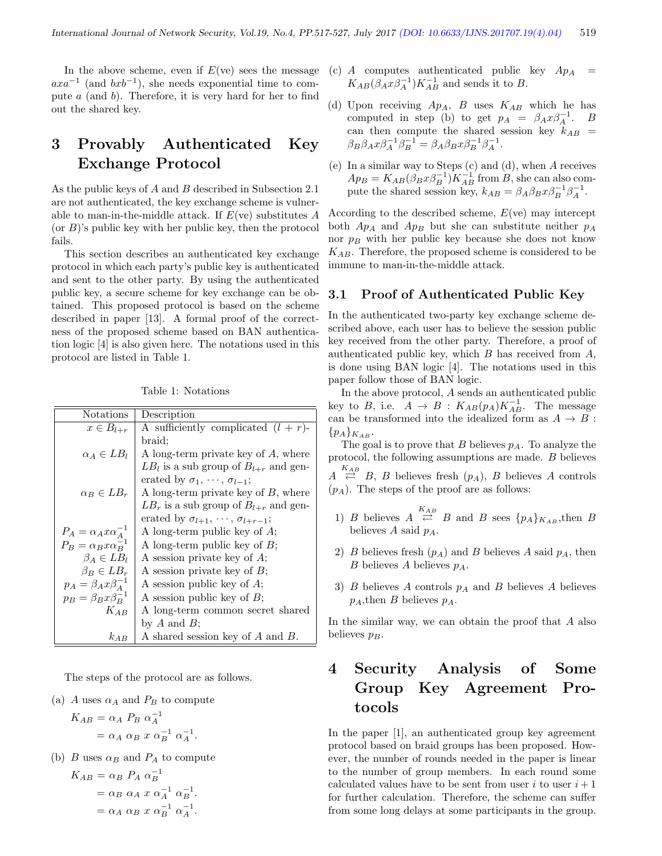In the above scheme, even if  $E(\text{ve})$  sees the message  $axa^{-1}$  (and  $bxb^{-1}$ ), she needs exponential time to compute  $a$  (and  $b$ ). Therefore, it is very hard for her to find out the shared key.

# 3 Provably Authenticated Key Exchange Protocol

As the public keys of A and B described in Subsection 2.1 are not authenticated, the key exchange scheme is vulnerable to man-in-the-middle attack. If  $E$ (ve) substitutes  $A$  $($ or  $B$  $)$ 's public key with her public key, then the protocol fails.

This section describes an authenticated key exchange protocol in which each party's public key is authenticated and sent to the other party. By using the authenticated public key, a secure scheme for key exchange can be obtained. This proposed protocol is based on the scheme described in paper [13]. A formal proof of the correctness of the proposed scheme based on BAN authentication logic [4] is also given here. The notations used in this protocol are listed in Table 1.

Table 1: Notations

| Notations                        | Description                                        |
|----------------------------------|----------------------------------------------------|
| $x \in B_{l+r}$                  | A sufficiently complicated $(l + r)$ -             |
|                                  | braid:                                             |
| $\alpha_A \in LB_l$              | A long-term private key of $A$ , where             |
|                                  | $LB_l$ is a sub group of $B_{l+r}$ and gen-        |
|                                  | erated by $\sigma_1, \cdots, \sigma_{l-1}$ ;       |
| $\alpha_R \in LB_r$              | A long-term private key of $B$ , where             |
|                                  | $LBr$ is a sub group of $Bl+r$ and gen-            |
|                                  | erated by $\sigma_{l+1}, \cdots, \sigma_{l+r-1}$ ; |
| $P_A = \alpha_A x \alpha_A^{-1}$ | A long-term public key of $A$ ;                    |
| $P_B = \alpha_B x \alpha_B^{-1}$ | A long-term public key of $B$ ;                    |
| $\beta_A \in LB_l$               | A session private key of $A$ ;                     |
| $\beta_B \in LB_r$               | A session private key of $B$ ;                     |
| $p_A = \beta_A x \beta_A^{-1}$   | A session public key of $A$ ;                      |
| $p_B = \beta_B x \beta_B^{-1}$   | A session public key of $B$ ;                      |
| $K_{AB}$                         | A long-term common secret shared                   |
|                                  | by $A$ and $B$ ;                                   |
| $k_{AB}$                         | A shared session key of $A$ and $B$ .              |

The steps of the protocol are as follows.

(a) A uses  $\alpha_A$  and  $P_B$  to compute

$$
K_{AB} = \alpha_A P_B \alpha_A^{-1}
$$
  
=  $\alpha_A \alpha_B x \alpha_B^{-1} \alpha_A^{-1}$ .

(b) *B* uses  $\alpha_B$  and  $P_A$  to compute

$$
K_{AB} = \alpha_B \ P_A \ \alpha_B^{-1}
$$
  
=  $\alpha_B \ \alpha_A \ x \ \alpha_A^{-1} \ \alpha_B^{-1}$ .  
=  $\alpha_A \ \alpha_B \ x \ \alpha_B^{-1} \ \alpha_A^{-1}$ .

- (c)  $A$  computes authenticated public key  $Ap_A$  $K_{AB}(\beta_A x \beta_A^{-1}) K_{AB}^{-1}$  and sends it to B.
- (d) Upon receiving  $Ap_A$ , B uses  $K_{AB}$  which he has computed in step (b) to get  $p_A = \beta_A x \beta_A^{-1}$ . B can then compute the shared session key  $k_{AB}$  =  $\beta_B \beta_A x \beta_A^{-1} \beta_B^{-1} = \beta_A \beta_B x \beta_B^{-1} \beta_A^{-1}.$
- (e) In a similar way to Steps (c) and (d), when A receives  $Ap_B = K_{AB} (\beta_B x \beta_B^{-1}) K_{AB}^{-1}$  from B, she can also compute the shared session key,  $k_{AB} = \beta_A \beta_B x \beta_B^{-1} \beta_A^{-1}$ .

According to the described scheme,  $E$ (ve) may intercept both  $Ap_A$  and  $Ap_B$  but she can substitute neither  $p_A$ nor  $p_B$  with her public key because she does not know  $K_{AB}$ . Therefore, the proposed scheme is considered to be immune to man-in-the-middle attack.

#### 3.1 Proof of Authenticated Public Key

In the authenticated two-party key exchange scheme described above, each user has to believe the session public key received from the other party. Therefore, a proof of authenticated public key, which  $B$  has received from  $A$ , is done using BAN logic [4]. The notations used in this paper follow those of BAN logic.

In the above protocol, A sends an authenticated public key to B, i.e.  $A \rightarrow B : K_{AB}(p_A)K_{AB}^{-1}$ . The message can be transformed into the idealized form as  $A \rightarrow B$ :  $\{p_A\}_{K_{AB}}$ .

The goal is to prove that  $B$  believes  $p_A$ . To analyze the protocol, the following assumptions are made. B believes  $A \stackrel{K_{AB}}{\rightleftarrows} B$ , *B* believes fresh  $(p_A)$ , *B* believes *A* controls  $(p_A)$ . The steps of the proof are as follows:

- 1) B believes  $A \stackrel{K_{AB}}{\rightleftharpoons} B$  and B sees  $\{p_A\}_{K_{AB}}$ , then B believes  $A$  said  $p_A$ .
- 2) B believes fresh  $(p_A)$  and B believes A said  $p_A$ , then B believes A believes  $p_A$ .
- 3) B believes A controls  $p_A$  and B believes A believes  $p_A$ , then B believes  $p_A$ .

In the similar way, we can obtain the proof that A also believes  $p_B$ .

# 4 Security Analysis of Some Group Key Agreement Protocols

In the paper [1], an authenticated group key agreement protocol based on braid groups has been proposed. However, the number of rounds needed in the paper is linear to the number of group members. In each round some calculated values have to be sent from user i to user  $i+1$ for further calculation. Therefore, the scheme can suffer from some long delays at some participants in the group.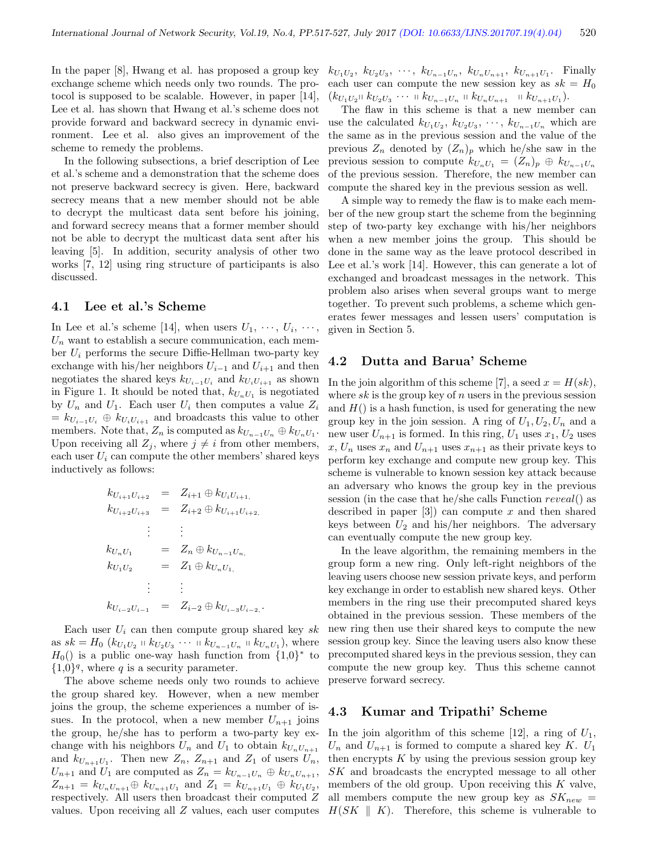In the paper [8], Hwang et al. has proposed a group key exchange scheme which needs only two rounds. The protocol is supposed to be scalable. However, in paper [14], Lee et al. has shown that Hwang et al.'s scheme does not provide forward and backward secrecy in dynamic environment. Lee et al. also gives an improvement of the scheme to remedy the problems.

In the following subsections, a brief description of Lee et al.'s scheme and a demonstration that the scheme does not preserve backward secrecy is given. Here, backward secrecy means that a new member should not be able to decrypt the multicast data sent before his joining, and forward secrecy means that a former member should not be able to decrypt the multicast data sent after his leaving [5]. In addition, security analysis of other two works [7, 12] using ring structure of participants is also discussed.

#### 4.1 Lee et al.'s Scheme

In Lee et al.'s scheme [14], when users  $U_1, \dots, U_i, \dots$ ,  $U_n$  want to establish a secure communication, each member  $U_i$  performs the secure Diffie-Hellman two-party key exchange with his/her neighbors  $U_{i-1}$  and  $U_{i+1}$  and then negotiates the shared keys  $k_{U_{i-1}U_i}$  and  $k_{U_iU_{i+1}}$  as shown in Figure 1. It should be noted that,  $k_{U_n U_1}$  is negotiated by  $U_n$  and  $U_1$ . Each user  $U_i$  then computes a value  $Z_i$  $= k_{U_{i-1}U_i} \oplus k_{U_iU_{i+1}}$  and broadcasts this value to other members. Note that,  $Z_n$  is computed as  $k_{U_{n-1}U_n} \oplus k_{U_nU_1}$ . Upon receiving all  $Z_i$ , where  $j \neq i$  from other members, each user  $U_i$  can compute the other members' shared keys inductively as follows:

$$
k_{U_{i+1}U_{i+2}} = Z_{i+1} \oplus k_{U_iU_{i+1}},
$$
  
\n
$$
k_{U_{i+2}U_{i+3}} = Z_{i+2} \oplus k_{U_{i+1}U_{i+2}},
$$
  
\n
$$
\vdots \qquad \vdots
$$
  
\n
$$
k_{U_nU_1} = Z_n \oplus k_{U_{n-1}U_n},
$$
  
\n
$$
k_{U_1U_2} = Z_1 \oplus k_{U_nU_1},
$$
  
\n
$$
\vdots \qquad \vdots
$$
  
\n
$$
k_{U_{i-2}U_{i-1}} = Z_{i-2} \oplus k_{U_{i-3}U_{i-2}}.
$$

Each user  $U_i$  can then compute group shared key sk as  $sk = H_0 (k_{U_1U_2} + k_{U_2U_3} + \cdots + k_{U_{n-1}U_n} + k_{U_nU_1}),$  where  $H_0()$  is a public one-way hash function from  $\{1,0\}^*$  to  $\{1,0\}^q$ , where q is a security parameter.

The above scheme needs only two rounds to achieve the group shared key. However, when a new member joins the group, the scheme experiences a number of issues. In the protocol, when a new member  $U_{n+1}$  joins the group, he/she has to perform a two-party key exchange with his neighbors  $U_n$  and  $U_1$  to obtain  $k_{U_nU_{n+1}}$ and  $k_{U_{n+1}U_1}$ . Then new  $Z_n$ ,  $Z_{n+1}$  and  $Z_1$  of users  $U_n$ ,  $U_{n+1}$  and  $U_1$  are computed as  $Z_n = k_{U_{n-1}U_n} \oplus k_{U_nU_{n+1}}$ ,  $Z_{n+1} = k_{U_n U_{n+1}} \oplus k_{U_{n+1} U_1}$  and  $Z_1 = k_{U_{n+1} U_1} \oplus k_{U_1 U_2}$ , respectively. All users then broadcast their computed  $\boldsymbol{Z}$ 

 $k_{U_1U_2}, k_{U_2U_3}, \dots, k_{U_{n-1}U_n}, k_{U_nU_{n+1}}, k_{U_{n+1}U_1}$ . Finally each user can compute the new session key as  $sk = H_0$  $(k_{U_1U_2}\otimes k_{U_2U_3}\cdots \otimes k_{U_{n-1}U_n}\otimes k_{U_nU_{n+1}}\otimes k_{U_{n+1}U_1}).$ 

The flaw in this scheme is that a new member can use the calculated  $k_{U_1U_2}$ ,  $k_{U_2U_3}$ ,  $\cdots$ ,  $k_{U_{n-1}U_n}$  which are the same as in the previous session and the value of the previous  $Z_n$  denoted by  $(Z_n)_p$  which he/she saw in the previous session to compute  $k_{U_nU_1} = (Z_n)_p \oplus k_{U_{n-1}U_n}$ of the previous session. Therefore, the new member can compute the shared key in the previous session as well.

A simple way to remedy the flaw is to make each member of the new group start the scheme from the beginning step of two-party key exchange with his/her neighbors when a new member joins the group. This should be done in the same way as the leave protocol described in Lee et al.'s work [14]. However, this can generate a lot of exchanged and broadcast messages in the network. This problem also arises when several groups want to merge together. To prevent such problems, a scheme which generates fewer messages and lessen users' computation is given in Section 5.

#### 4.2 Dutta and Barua' Scheme

In the join algorithm of this scheme [7], a seed  $x = H(sk)$ , where  $sk$  is the group key of n users in the previous session and  $H()$  is a hash function, is used for generating the new group key in the join session. A ring of  $U_1, U_2, U_n$  and a new user  $U_{n+1}$  is formed. In this ring,  $U_1$  uses  $x_1, U_2$  uses x,  $U_n$  uses  $x_n$  and  $U_{n+1}$  uses  $x_{n+1}$  as their private keys to perform key exchange and compute new group key. This scheme is vulnerable to known session key attack because an adversary who knows the group key in the previous session (in the case that he/she calls Function reveal() as described in paper  $[3]$  can compute x and then shared keys between  $U_2$  and his/her neighbors. The adversary can eventually compute the new group key.

In the leave algorithm, the remaining members in the group form a new ring. Only left-right neighbors of the leaving users choose new session private keys, and perform key exchange in order to establish new shared keys. Other members in the ring use their precomputed shared keys obtained in the previous session. These members of the new ring then use their shared keys to compute the new session group key. Since the leaving users also know these precomputed shared keys in the previous session, they can compute the new group key. Thus this scheme cannot preserve forward secrecy.

#### 4.3 Kumar and Tripathi' Scheme

values. Upon receiving all Z values, each user computes  $H(SK \parallel K)$ . Therefore, this scheme is vulnerable to In the join algorithm of this scheme [12], a ring of  $U_1$ ,  $U_n$  and  $U_{n+1}$  is formed to compute a shared key K.  $U_1$ then encrypts  $K$  by using the previous session group key SK and broadcasts the encrypted message to all other members of the old group. Upon receiving this  $K$  valve, all members compute the new group key as  $SK_{new}$  =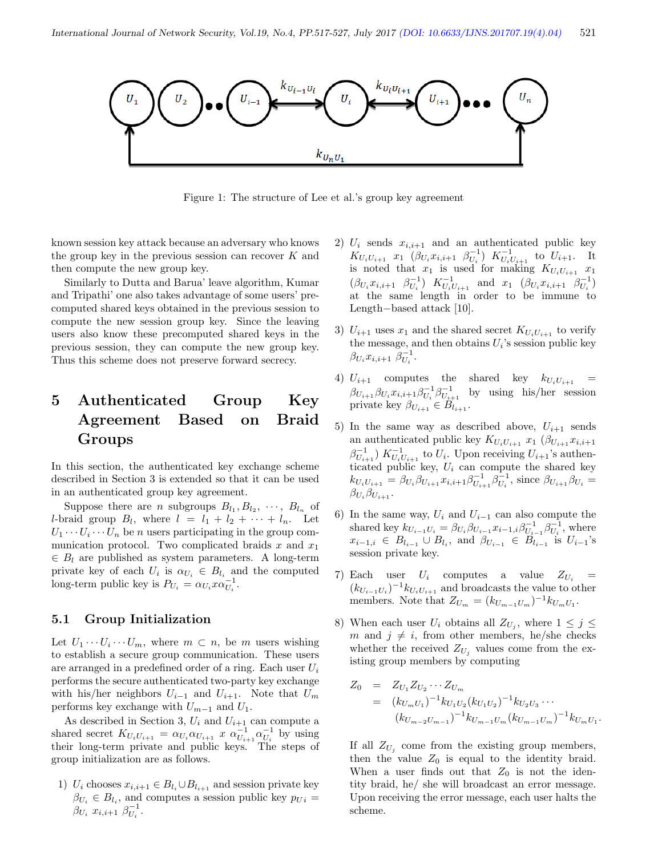

Figure 1: The structure of Lee et al.'s group key agreement

known session key attack because an adversary who knows the group key in the previous session can recover  $K$  and then compute the new group key.

Similarly to Dutta and Barua' leave algorithm, Kumar and Tripathi' one also takes advantage of some users' precomputed shared keys obtained in the previous session to compute the new session group key. Since the leaving users also know these precomputed shared keys in the previous session, they can compute the new group key. Thus this scheme does not preserve forward secrecy.

# 5 Authenticated Group Key Agreement Based on Braid Groups

In this section, the authenticated key exchange scheme described in Section 3 is extended so that it can be used in an authenticated group key agreement.

Suppose there are *n* subgroups  $B_{l_1}, B_{l_2}, \cdots, B_{l_n}$  of *l*-braid group  $B_l$ , where  $l = l_1 + l_2 + \cdots + l_n$ . Let  $U_1 \cdots U_i \cdots U_n$  be *n* users participating in the group communication protocol. Two complicated braids  $x$  and  $x_1$  $\in B_l$  are published as system parameters. A long-term private key of each  $U_i$  is  $\alpha_{U_i} \in B_{l_i}$  and the computed long-term public key is  $P_{U_i} = \alpha_{U_i} x \alpha_{U_i}^{-1}$ .

#### 5.1 Group Initialization

Let  $U_1 \cdots U_i \cdots U_m$ , where  $m \subset n$ , be m users wishing to establish a secure group communication. These users are arranged in a predefined order of a ring. Each user  $U_i$ performs the secure authenticated two-party key exchange with his/her neighbors  $U_{i-1}$  and  $U_{i+1}$ . Note that  $U_m$ performs key exchange with  $U_{m-1}$  and  $U_1$ .

As described in Section 3,  $U_i$  and  $U_{i+1}$  can compute a shared secret  $K_{U_i U_{i+1}} = \alpha_{U_i} \alpha_{U_{i+1}} x \alpha_{U_{i+1}}^{-1} \alpha_{U_i}^{-1}$  by using their long-term private and public keys. The steps of group initialization are as follows.

1)  $U_i$  chooses  $x_{i,i+1} \in B_{l_i} \cup B_{l_{i+1}}$  and session private key  $\beta_{U_i} \in B_{l_i}$ , and computes a session public key  $p_{U_i} =$  $\beta_{U_i} x_{i,i+1} \; \beta_{U_i}^{-1}.$ 

- 2)  $U_i$  sends  $x_{i,i+1}$  and an authenticated public key  $K_{U_iU_{i+1}}$   $x_1$   $(\beta_{U_i}x_{i,i+1} \ \beta_{U_i}^{-1})$   $K_{U_iU_{i+1}}^{-1}$  to  $U_{i+1}$ . It is noted that  $x_1$  is used for making  $K_{U_iU_{i+1}}$   $x_1$  $(\beta_{U_i} x_{i,i+1} \ \beta_{U_i}^{-1}) \ K_{U_i U_{i+1}}^{-1}$  and  $x_1$   $(\beta_{U_i} x_{i,i+1} \ \beta_{U_i}^{-1})$ at the same length in order to be immune to Length−based attack [10].
- 3)  $U_{i+1}$  uses  $x_1$  and the shared secret  $K_{U_iU_{i+1}}$  to verify the message, and then obtains  $U_i$ 's session public key  $\beta_{U_i} x_{i,i+1} \; \beta_{U_i}^{-1}.$
- 4)  $U_{i+1}$  computes the shared key  $k_{U_iU_{i+1}}$  =  $\beta_{U_{i+1}} \beta_{U_i} x_{i,i+1} \beta_{U_i}^{-1} \beta_{U_{i+1}}^{-1}$  by using his/her session private key  $\beta_{U_{i+1}} \in B_{l_{i+1}}$ .
- 5) In the same way as described above,  $U_{i+1}$  sends an authenticated public key  $K_{U_iU_{i+1}} x_1$  ( $\beta_{U_{i+1}} x_{i,i+1}$  $\beta_{U_{i+1}}^{-1}$ )  $K_{U_i U_{i+1}}^{-1}$  to  $U_i$ . Upon receiving  $U_{i+1}$ 's authenticated public key,  $U_i$  can compute the shared key  $k_{U_iU_{i+1}} = \beta_{U_i}\beta_{U_{i+1}}x_{i,i+1}\beta_{U_{i+1}}^{-1}\beta_{U_i}^{-1}$ , since  $\beta_{U_{i+1}}\beta_{U_i} =$  $\beta_{U_i}\beta_{U_{i+1}}$ .
- 6) In the same way,  $U_i$  and  $U_{i-1}$  can also compute the shared key  $k_{U_{i-1}U_i} = \beta_{U_i}\beta_{U_{i-1}}x_{i-1,i}\beta_{U_{i-1}}^{-1}\beta_{U_i}^{-1}$ , where  $x_{i-1,i} \in B_{l_{i-1}} \cup B_{l_i}$ , and  $\beta_{U_{i-1}} \in B_{l_{i-1}}$  is  $U_{i-1}$ 's session private key.
- 7) Each user  $U_i$  computes a value  $Z_{U_i}$  =  $(k_{U_{i-1}U_i})^{-1}k_{U_iU_{i+1}}$  and broadcasts the value to other members. Note that  $Z_{U_m} = (k_{U_{m-1}U_m})^{-1} k_{U_mU_1}$ .
- 8) When each user  $U_i$  obtains all  $Z_{U_j}$ , where  $1 \leq j \leq$ m and  $j \neq i$ , from other members, he/she checks whether the received  $Z_{U_i}$  values come from the existing group members by computing

$$
Z_0 = Z_{U_1} Z_{U_2} \cdots Z_{U_m}
$$
  
=  $(k_{U_m U_1})^{-1} k_{U_1 U_2} (k_{U_1 U_2})^{-1} k_{U_2 U_3} \cdots$   
 $(k_{U_{m-2} U_{m-1}})^{-1} k_{U_{m-1} U_m} (k_{U_{m-1} U_m})^{-1} k_{U_m U_1}.$ 

If all  $Z_{U_j}$  come from the existing group members, then the value  $Z_0$  is equal to the identity braid. When a user finds out that  $Z_0$  is not the identity braid, he/ she will broadcast an error message. Upon receiving the error message, each user halts the scheme.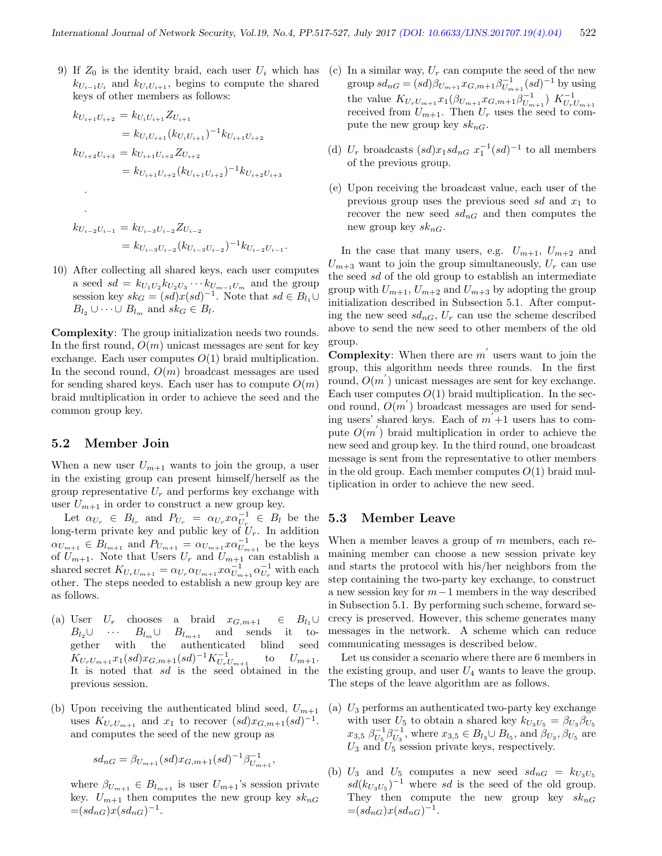9) If  $Z_0$  is the identity braid, each user  $U_i$  which has  $k_{U_{i-1}U_i}$  and  $k_{U_iU_{i+1}}$ , begins to compute the shared keys of other members as follows:

$$
k_{U_{i+1}U_{i+2}} = k_{U_iU_{i+1}} Z_{U_{i+1}}
$$
  
\n
$$
= k_{U_iU_{i+1}} (k_{U_iU_{i+1}})^{-1} k_{U_{i+1}U_{i+2}}
$$
  
\n
$$
k_{U_{i+2}U_{i+3}} = k_{U_{i+1}U_{i+2}} Z_{U_{i+2}}
$$
  
\n
$$
= k_{U_{i+1}U_{i+2}} (k_{U_{i+1}U_{i+2}})^{-1} k_{U_{i+2}U_{i+3}}
$$
  
\n
$$
\vdots
$$
  
\n
$$
k_{U_{i-2}U_{i-1}} = k_{U_{i-3}U_{i-2}} Z_{U_{i-2}}
$$
  
\n
$$
= k_{U_{i-3}U_{i-2}} (k_{U_{i-3}U_{i-2}})^{-1} k_{U_{i-2}U_{i-1}}.
$$

10) After collecting all shared keys, each user computes a seed  $sd = k_{U_1U_2} k_{U_2U_3} \cdots k_{U_{m-1}U_m}$  and the group session key  $sk_G = (sd)x(sl)^{-1}$ . Note that  $sd \in B_{l_1} \cup$  $B_{l_2} \cup \cdots \cup B_{l_m}$  and  $sk_G \in B_l$ .

Complexity: The group initialization needs two rounds. In the first round,  $O(m)$  unicast messages are sent for key exchange. Each user computes  $O(1)$  braid multiplication. In the second round,  $O(m)$  broadcast messages are used for sending shared keys. Each user has to compute  $O(m)$ braid multiplication in order to achieve the seed and the common group key.

#### 5.2 Member Join

When a new user  $U_{m+1}$  wants to join the group, a user in the existing group can present himself/herself as the group representative  $U_r$  and performs key exchange with user  $U_{m+1}$  in order to construct a new group key.

Let  $\alpha_{U_r} \in B_{l_r}$  and  $P_{U_r} = \alpha_{U_r} x \alpha_{U_r}^{-1} \in B_l$  be the long-term private key and public key of  $U_r$ . In addition  $\alpha_{U_{m+1}} \in B_{l_{m+1}}$  and  $P_{U_{m+1}} = \alpha_{U_{m+1}} x \alpha_{U_{m+1}}^{-1}$  be the keys of  $U_{m+1}$ . Note that Users  $U_r$  and  $U_{m+1}$  can establish a shared secret  $K_{U_rU_{m+1}} = \alpha_{U_r} \alpha_{U_{m+1}} x \alpha_{U_{m+1}}^{-1} \alpha_{U_r}^{-1}$  with each other. The steps needed to establish a new group key are as follows.

- (a) User  $U_r$  chooses a braid  $x_{G,m+1} \in B_{l_1} \cup$  $B_{l_0}\cup \cdots \cdots \cdots B_{l_m}\cup B_{l_{m+1}}$  and sends it together with the authenticated blind seed  $K_{U_rU_{m+1}}x_1(sd)x_{G,m+1}(sd)^{-1}K_{U_rU_{m+1}}^{-1}$ to  $U_{m+1}$ . It is noted that  $sd$  is the seed obtained in the previous session.
- (b) Upon receiving the authenticated blind seed,  $U_{m+1}$ uses  $K_{U_rU_{m+1}}$  and  $x_1$  to recover  $(sd)x_{G,m+1}(sd)^{-1}$ . and computes the seed of the new group as

$$
sd_{nG} = \beta_{U_{m+1}}(sd)x_{G,m+1}(sd)^{-1}\beta_{U_{m+1}}^{-1},
$$

where  $\beta_{U_{m+1}} \in B_{l_{m+1}}$  is user  $U_{m+1}$ 's session private key.  $U_{m+1}$  then computes the new group key  $sk_{nG}$  $=(sd_{nG})x(sd_{nG})^{-1}.$ 

- (c) In a similar way,  $U_r$  can compute the seed of the new group  $sd_{nG} = (sd)\beta_{U_{m+1}} x_{G,m+1} \beta_{U_{m+1}}^{-1} (sd)^{-1}$  by using the value  $K_{U_rU_{m+1}}x_1(\beta_{U_{m+1}}x_{G,m+1}\beta_{U_{m+1}}^{-1}) K_{U_rU_{m+1}}^{-1}$ <br>received from  $U_{m+1}$ . Then  $U_r$  uses the seed to compute the new group key  $sk_{nG}$ .
- (d)  $U_r$  broadcasts  $(sd)x_1sd_{nG} x_1^{-1}(sd)^{-1}$  to all members of the previous group.
- (e) Upon receiving the broadcast value, each user of the previous group uses the previous seed  $sd$  and  $x_1$  to recover the new seed  $sd_{nG}$  and then computes the new group key  $sk_{nG}$ .

In the case that many users, e.g.  $U_{m+1}$ ,  $U_{m+2}$  and  $U_{m+3}$  want to join the group simultaneously,  $U_r$  can use the seed sd of the old group to establish an intermediate group with  $U_{m+1}$ ,  $U_{m+2}$  and  $U_{m+3}$  by adopting the group initialization described in Subsection 5.1. After computing the new seed  $sd_{nG}$ ,  $U_r$  can use the scheme described above to send the new seed to other members of the old group.

**Complexity**: When there are  $m'$  users want to join the group, this algorithm needs three rounds. In the first round,  $O(m')$  unicast messages are sent for key exchange. Each user computes  $O(1)$  braid multiplication. In the second round,  $O(m')$  broadcast messages are used for sending users' shared keys. Each of  $m' + 1$  users has to compute  $O(m)$  braid multiplication in order to achieve the new seed and group key. In the third round, one broadcast message is sent from the representative to other members in the old group. Each member computes  $O(1)$  braid multiplication in order to achieve the new seed.

#### 5.3 Member Leave

When a member leaves a group of  $m$  members, each remaining member can choose a new session private key and starts the protocol with his/her neighbors from the step containing the two-party key exchange, to construct a new session key for  $m-1$  members in the way described in Subsection 5.1. By performing such scheme, forward secrecy is preserved. However, this scheme generates many messages in the network. A scheme which can reduce communicating messages is described below.

Let us consider a scenario where there are 6 members in the existing group, and user  $U_4$  wants to leave the group. The steps of the leave algorithm are as follows.

- (a)  $U_3$  performs an authenticated two-party key exchange with user  $U_5$  to obtain a shared key  $k_{U_3U_5} = \beta_{U_3}\beta_{U_5}$  $x_{3,5} \; \beta_{U_5}^{-1} \beta_{U_3}^{-1}$ , where  $x_{3,5} \in B_{l_3} \cup B_{l_5}$ , and  $\beta_{U_3}, \beta_{U_5}$  are  $U_3$  and  $U_5$  session private keys, respectively.
- (b)  $U_3$  and  $U_5$  computes a new seed  $sd_{nG} = k_{U_3U_5}$  $sd(k_{U_3U_5})^{-1}$  where sd is the seed of the old group. They then compute the new group key  $sk_{nG}$  $=(sd_{nG})x(sd_{nG})^{-1}.$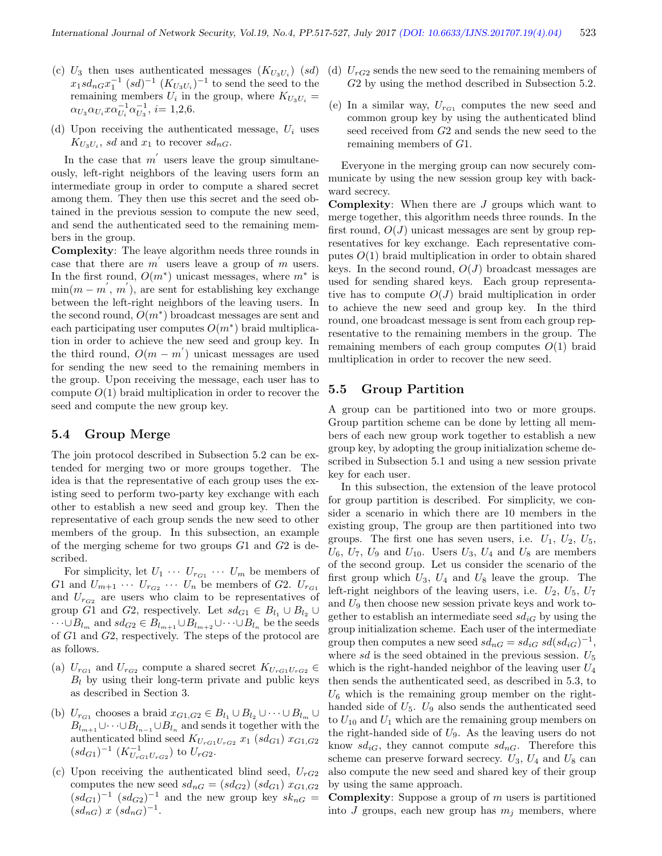- (c)  $U_3$  then uses authenticated messages  $(K_{U_3U_i})$  (sd)  $x_1 s d_{nG} x_1^{-1}$   $(sd)^{-1}$   $(K_{U_3 U_i})^{-1}$  to send the seed to the remaining members  $U_i$  in the group, where  $K_{U_3U_i} =$  $\alpha_{U_3} \alpha_{U_i} x \alpha_{U_i}^{-1} \alpha_{U_3}^{-1}, i = 1,2,6.$
- (d) Upon receiving the authenticated message,  $U_i$  uses  $K_{U_3U_i}$ , sd and  $x_1$  to recover  $sd_{nG}$ .

In the case that  $m'$  users leave the group simultaneously, left-right neighbors of the leaving users form an intermediate group in order to compute a shared secret among them. They then use this secret and the seed obtained in the previous session to compute the new seed, and send the authenticated seed to the remaining members in the group.

Complexity: The leave algorithm needs three rounds in case that there are  $m'$  users leave a group of  $m$  users. In the first round,  $O(m^*)$  unicast messages, where  $m^*$  is  $\min(m - m', m')$ , are sent for establishing key exchange between the left-right neighbors of the leaving users. In the second round,  $O(m^*)$  broadcast messages are sent and each participating user computes  $O(m^*)$  braid multiplication in order to achieve the new seed and group key. In the third round,  $O(m - m')$  unicast messages are used for sending the new seed to the remaining members in the group. Upon receiving the message, each user has to compute  $O(1)$  braid multiplication in order to recover the seed and compute the new group key.

#### 5.4 Group Merge

The join protocol described in Subsection 5.2 can be extended for merging two or more groups together. The idea is that the representative of each group uses the existing seed to perform two-party key exchange with each other to establish a new seed and group key. Then the representative of each group sends the new seed to other members of the group. In this subsection, an example of the merging scheme for two groups  $G1$  and  $G2$  is described.

For simplicity, let  $U_1 \cdots U_{r_{G_1}} \cdots U_m$  be members of G1 and  $U_{m+1} \cdots U_{r_{G_2}} \cdots U_n$  be members of G2.  $U_{r_{G_1}}$ and  $U_{r_{G2}}$  are users who claim to be representatives of group G1 and G2, respectively. Let  $sd_{G1} \in B_{l_1} \cup B_{l_2} \cup$  $\cdots \cup B_{l_m}$  and  $sd_{G2} \in B_{l_{m+1}} \cup B_{l_{m+2}} \cup \cdots \cup B_{l_n}$  be the seeds of G1 and G2, respectively. The steps of the protocol are as follows.

- (a)  $U_{r_{G1}}$  and  $U_{r_{G2}}$  compute a shared secret  $K_{U_{rG1}U_{rG2}} \in$  $B_l$  by using their long-term private and public keys as described in Section 3.
- (b)  $U_{r_{G1}}$  chooses a braid  $x_{G1,G2} \in B_{l_1} \cup B_{l_2} \cup \cdots \cup B_{l_m} \cup$  $B_{l_{m+1}}\cup\cdots\cup B_{l_{n-1}}\cup B_{l_n}$  and sends it together with the authenticated blind seed  $K_{U_{rG1}U_{rG2}} x_1$  (sd<sub>G1</sub>)  $x_{G1,G2}$  $sd_{G1})^{-1}$   $(K_{U_{rG1}U_{rG2}}^{-1})$  to  $U_{rG2}$ .
- (c) Upon receiving the authenticated blind seed,  $U_{rG2}$ computes the new seed  $sd_{nG} = (sd_{G2}) (sd_{G1}) x_{G1,G2}$  $(sd_{G1})^{-1}$   $(sd_{G2})^{-1}$  and the new group key  $sk_{nG}$  =  $(sd_{nG}) x (sd_{nG})^{-1}.$
- (d)  $U_{rG2}$  sends the new seed to the remaining members of G2 by using the method described in Subsection 5.2.
- (e) In a similar way,  $U_{r_{G1}}$  computes the new seed and common group key by using the authenticated blind seed received from G2 and sends the new seed to the remaining members of G1.

Everyone in the merging group can now securely communicate by using the new session group key with backward secrecy.

**Complexity:** When there are  $J$  groups which want to merge together, this algorithm needs three rounds. In the first round,  $O(J)$  unicast messages are sent by group representatives for key exchange. Each representative computes  $O(1)$  braid multiplication in order to obtain shared keys. In the second round,  $O(J)$  broadcast messages are used for sending shared keys. Each group representative has to compute  $O(J)$  braid multiplication in order to achieve the new seed and group key. In the third round, one broadcast message is sent from each group representative to the remaining members in the group. The remaining members of each group computes  $O(1)$  braid multiplication in order to recover the new seed.

#### 5.5 Group Partition

A group can be partitioned into two or more groups. Group partition scheme can be done by letting all members of each new group work together to establish a new group key, by adopting the group initialization scheme described in Subsection 5.1 and using a new session private key for each user.

In this subsection, the extension of the leave protocol for group partition is described. For simplicity, we consider a scenario in which there are 10 members in the existing group, The group are then partitioned into two groups. The first one has seven users, i.e.  $U_1$ ,  $U_2$ ,  $U_5$ ,  $U_6$ ,  $U_7$ ,  $U_9$  and  $U_{10}$ . Users  $U_3$ ,  $U_4$  and  $U_8$  are members of the second group. Let us consider the scenario of the first group which  $U_3$ ,  $U_4$  and  $U_8$  leave the group. The left-right neighbors of the leaving users, i.e.  $U_2$ ,  $U_5$ ,  $U_7$ and  $U_9$  then choose new session private keys and work together to establish an intermediate seed  $sd_{iG}$  by using the group initialization scheme. Each user of the intermediate group then computes a new seed  $sd_{nG} = sd_{iG} sd(sd_{iG})^{-1}$ , where sd is the seed obtained in the previous session.  $U_5$ which is the right-handed neighbor of the leaving user  $U_4$ then sends the authenticated seed, as described in 5.3, to  $U_6$  which is the remaining group member on the righthanded side of  $U_5$ .  $U_9$  also sends the authenticated seed to  $U_{10}$  and  $U_1$  which are the remaining group members on the right-handed side of  $U_9$ . As the leaving users do not know  $sd_{iG}$ , they cannot compute  $sd_{nG}$ . Therefore this scheme can preserve forward secrecy.  $U_3$ ,  $U_4$  and  $U_8$  can also compute the new seed and shared key of their group by using the same approach.

**Complexity:** Suppose a group of  $m$  users is partitioned into J groups, each new group has  $m_i$  members, where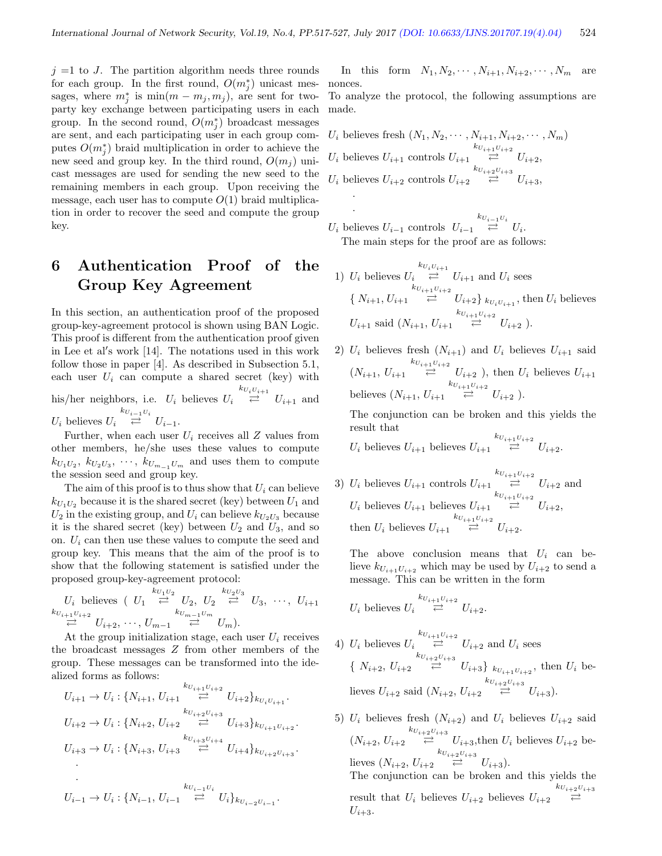$j =1$  to J. The partition algorithm needs three rounds for each group. In the first round,  $O(m_j^*)$  unicast messages, where  $m_j^*$  is  $\min(m - m_j, m_j)$ , are sent for twoparty key exchange between participating users in each group. In the second round,  $O(m_j^*)$  broadcast messages are sent, and each participating user in each group computes  $O(m_j^*)$  braid multiplication in order to achieve the new seed and group key. In the third round,  $O(m_i)$  unicast messages are used for sending the new seed to the remaining members in each group. Upon receiving the message, each user has to compute  $O(1)$  braid multiplication in order to recover the seed and compute the group key.

# 6 Authentication Proof of the Group Key Agreement

In this section, an authentication proof of the proposed group-key-agreement protocol is shown using BAN Logic. This proof is different from the authentication proof given in Lee et al's work [14]. The notations used in this work follow those in paper [4]. As described in Subsection 5.1, each user  $U_i$  can compute a shared secret (key) with his/her neighbors, i.e.  $U_i$  believes  $U_i$  $\stackrel{k_{U_i U_{i+1}}}{\rightleftarrows} U_{i+1}$  and  $U_i$  believes  $U_i$  $\stackrel{k_{U_{i-1}U_i}}{\rightleftharpoons} U_{i-1}.$ 

Further, when each user  $U_i$  receives all Z values from other members, he/she uses these values to compute  $k_{U_1U_2}, k_{U_2U_3}, \dots, k_{U_{m-1}U_m}$  and uses them to compute the session seed and group key.

The aim of this proof is to thus show that  $U_i$  can believe  $k_{U_1U_2}$  because it is the shared secret (key) between  $U_1$  and  $U_2$  in the existing group, and  $U_i$  can believe  $k_{U_2U_3}$  because it is the shared secret (key) between  $U_2$  and  $U_3$ , and so on.  $U_i$  can then use these values to compute the seed and group key. This means that the aim of the proof is to show that the following statement is satisfied under the proposed group-key-agreement protocol:

 $U_i$  believes (  $U_1 \stackrel{k_{U_1U_2}}{\rightleftarrows} U_2$ ,  $U_2 \stackrel{k_{U_2U_3}}{\rightleftarrows} U_3$ ,  $\cdots$ ,  $U_{i+1}$  $\stackrel{k_{U_{i+1}U_{i+2}}}{\rightleftharpoons} U_{i+2}, \cdots, U_{m-1} \stackrel{k_{U_{m-1}U_m}}{\rightleftharpoons} U_m$ ).

At the group initialization stage, each user  $U_i$  receives the broadcast messages Z from other members of the group. These messages can be transformed into the idealized forms as follows:

$$
U_{i+1} \to U_i: \{N_{i+1}, U_{i+1} \stackrel{k_{U_{i+1}U_{i+2}}}{\rightleftarrows} U_{i+2}\}_{k_{U_iU_{i+1}}}.
$$
  
\n
$$
U_{i+2} \to U_i: \{N_{i+2}, U_{i+2} \stackrel{k_{U_{i+2}U_{i+3}}}{\rightleftarrows} U_{i+3}\}_{k_{U_{i+1}U_{i+2}}}.
$$
  
\n
$$
U_{i+3} \to U_i: \{N_{i+3}, U_{i+3} \stackrel{k_{U_{i+3}U_{i+4}}}{\rightleftarrows} U_{i+4}\}_{k_{U_{i+2}U_{i+3}}}.
$$
  
\n
$$
\cdot
$$
  
\n
$$
U_{i-1} \to U_i: \{N_{i-1}, U_{i-1} \stackrel{k_{U_{i-1}U_i}}{\rightleftarrows} U_i\}_{k_{U_{i-2}U_{i-1}}}.
$$

In this form  $N_1, N_2, \cdots, N_{i+1}, N_{i+2}, \cdots, N_m$  are nonces.

To analyze the protocol, the following assumptions are made.

$$
U_i \text{ believes fresh } (N_1, N_2, \cdots, N_{i+1}, N_{i+2}, \cdots, N_m)
$$
  
\n
$$
U_i \text{ believes } U_{i+1} \text{ controls } U_{i+1} \overset{k_{U_{i+1}U_{i+2}}}{\rightleftharpoons} U_{i+2},
$$
  
\n
$$
U_i \text{ believes } U_{i+2} \text{ controls } U_{i+2} \overset{k_{U_{i+2}U_{i+3}}}{\rightleftharpoons} U_{i+3},
$$

.  $U_i$  believes  $U_{i-1}$  controls  $U_{i-1}$  $\overset{k_{U_{i-1}U_i}}{\rightleftarrows} U_i.$ The main steps for the proof are as follows:

- 1)  $U_i$  believes  $U_i$  $\stackrel{k_{U_i U_{i+1}}}{\rightleftarrows} U_{i+1}$  and  $U_i$  sees  $\{ N_{i+1}, U_{i+1} \}$  $\stackrel{k_{U_{i+1}U_{i+2}}}{\rightleftarrows} U_{i+2}$   $\downarrow$   $_{k_{U_iU_{i+1}}}$ , then  $U_i$  believes  $U_{i+1}$  said  $(N_{i+1}, U_{i+1})$  $\stackrel{k_{U_{i+1}U_{i+2}}}{\rightleftarrows} U_{i+2}$ ).
- 2)  $U_i$  believes fresh  $(N_{i+1})$  and  $U_i$  believes  $U_{i+1}$  said  $(N_{i+1}, U_{i+1})$  $\stackrel{k_{U_{i+1}U_{i+2}}}{\rightleftarrows} U_{i+2}$ ), then  $U_i$  believes  $U_{i+1}$ believes  $(N_{i+1}, U_{i+1})$  $\stackrel{k_{U_{i+1}U_{i+2}}}{\rightleftarrows} U_{i+2}$ ).

The conjunction can be broken and this yields the result that

 $U_i$  believes  $U_{i+1}$  believes  $U_{i+1}$  $\overset{k_{U_{i+1}U_{i+2}}}{\rightleftarrows} U_{i+2}.$ 

3)  $U_i$  believes  $U_{i+1}$  controls  $U_{i+1}$  $\stackrel{k_{U_{i+1}U_{i+2}}}{\rightleftarrows} U_{i+2}$  and  $U_i$  believes  $U_{i+1}$  believes  $U_{i+1}$  $\stackrel{k_{U_{i+1}U_{i+2}}}{\rightleftarrows} U_{i+2},$ then  $U_i$  believes  $U_{i+1}$  $\overset{k_{U_{i+1}U_{i+2}}}{\rightleftarrows} U_{i+2}.$ 

The above conclusion means that  $U_i$  can believe  $k_{U_{i+1}U_{i+2}}$  which may be used by  $U_{i+2}$  to send a message. This can be written in the form

$$
U_i \text{ believes } U_i \overset{k_{U_{i+1}U_{i+2}}}{\rightleftarrows} U_{i+2}.
$$

4)  $U_i$  believes  $U_i$  $\stackrel{k_{U_{i+1}U_{i+2}}}{\rightleftarrows} U_{i+2}$  and  $U_i$  sees  $\{ N_{i+2}, U_{i+2} \}$  $\stackrel{k_{U_{i+2}U_{i+3}}}{\rightleftharpoons} U_{i+3}$   $\}$   $_{k_{U_{i+1}U_{i+2}}}$ , then  $U_i$  believes  $U_{i+2}$  said  $(N_{i+2}, U_{i+2})$  $\overset{k_{U_{i+2}U_{i+3}}}{\rightleftarrows} U_{i+3}.$ 

5)  $U_i$  believes fresh  $(N_{i+2})$  and  $U_i$  believes  $U_{i+2}$  said  $(N_{i+2}, U_{i+2})$  $\stackrel{k_{U_{i+2}U_{i+3}}}{\rightleftarrows} U_{i+3}$ , then  $U_i$  believes  $U_{i+2}$  believes  $(N_{i+2}, U_{i+2})$  $\overset{k_{U_{i+2}U_{i+3}}}{\rightleftarrows} U_{i+3}.$ The conjunction can be broken and this yields the result that  $U_i$  believes  $U_{i+2}$  believes  $U_{i+2}$  $k_{U_{i+2}U_{i+3}}$  $U_{i+3}$ .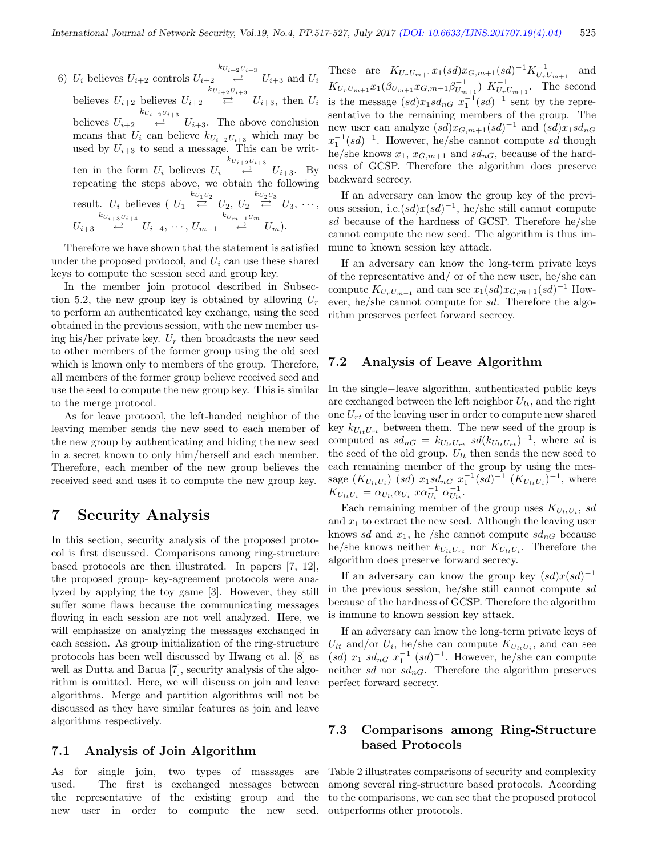6)  $U_i$  believes  $U_{i+2}$  controls  $U_{i+2}$  $\stackrel{k_{U_{i+2}U_{i+3}}}{\rightleftarrows} U_{i+3}$  and  $U_i$ believes  $U_{i+2}$  believes  $U_{i+2}$  $\stackrel{k_{U_{i+2}U_{i+3}}}{\rightleftarrows} U_{i+3}$ , then  $U_i$ believes  $U_{i+2}$  $\stackrel{k_{U_{i+2}U_{i+3}}}{\rightleftarrows} U_{i+3}$ . The above conclusion means that  $U_i$  can believe  $k_{U_{i+2}U_{i+3}}$  which may be used by  $U_{i+3}$  to send a message. This can be written in the form  $U_i$  believes  $U_i$   $\rightleftharpoons$  $k_{U_{i+2}U_{i+3}}$  $U_{i+3}$ . By repeating the steps above, we obtain the following result.  $U_i$  believes  $\left(U_1 \stackrel{k_{U_1U_2}}{\rightleftarrows} U_2, U_2 \stackrel{k_{U_2U_3}}{\rightleftarrows} U_3, \cdots,$  $U_{i+3}$  $\stackrel{k_{U_{i+3}U_{i+4}}}{\rightleftarrows} U_{i+4}, \cdots, U_{m-1} \stackrel{k_{U_{m-1}U_m}}{\rightleftarrows} U_m$ ).

Therefore we have shown that the statement is satisfied under the proposed protocol, and  $U_i$  can use these shared keys to compute the session seed and group key.

In the member join protocol described in Subsection 5.2, the new group key is obtained by allowing  $U_r$ to perform an authenticated key exchange, using the seed obtained in the previous session, with the new member using his/her private key.  $U_r$  then broadcasts the new seed to other members of the former group using the old seed which is known only to members of the group. Therefore, all members of the former group believe received seed and use the seed to compute the new group key. This is similar to the merge protocol.

As for leave protocol, the left-handed neighbor of the leaving member sends the new seed to each member of the new group by authenticating and hiding the new seed in a secret known to only him/herself and each member. Therefore, each member of the new group believes the received seed and uses it to compute the new group key.

### 7 Security Analysis

In this section, security analysis of the proposed protocol is first discussed. Comparisons among ring-structure based protocols are then illustrated. In papers [7, 12], the proposed group- key-agreement protocols were analyzed by applying the toy game [3]. However, they still suffer some flaws because the communicating messages flowing in each session are not well analyzed. Here, we will emphasize on analyzing the messages exchanged in each session. As group initialization of the ring-structure protocols has been well discussed by Hwang et al. [8] as well as Dutta and Barua [7], security analysis of the algorithm is omitted. Here, we will discuss on join and leave algorithms. Merge and partition algorithms will not be discussed as they have similar features as join and leave algorithms respectively.

#### 7.1 Analysis of Join Algorithm

As for single join, two types of massages are used. The first is exchanged messages between the representative of the existing group and the new user in order to compute the new seed.

These are  $K_{U_rU_{m+1}}x_1(sd)x_{G,m+1}(sd)^{-1}K_{U_rU_{m+1}}^{-1}$ and  $K_{U_rU_{m+1}}x_1(\beta_{U_{m+1}}x_{G,m+1}\beta_{U_{m+1}}^{-1})$   $K_{U_rU_{m+1}}^{-1}$ . The second is the message  $sd)x_1sd_{nG} x_1^{-1}(sd)^{-1}$  sent by the representative to the remaining members of the group. The new user can analyze  $sd)x_{G,m+1}(sd)^{-1}$  and  $sd)x_1sd_{nG}$  $x_1^{-1}(sd)^{-1}$ . However, he/she cannot compute sd though he/she knows  $x_1, x_{G,m+1}$  and  $sd_{nG}$ , because of the hardness of GCSP. Therefore the algorithm does preserve backward secrecy.

If an adversary can know the group key of the previous session, i.e. $(sd)x(sd)^{-1}$ , he/she still cannot compute sd because of the hardness of GCSP. Therefore he/she cannot compute the new seed. The algorithm is thus immune to known session key attack.

If an adversary can know the long-term private keys of the representative and/ or of the new user, he/she can compute  $K_{U_rU_{m+1}}$  and can see  $x_1(sd)x_{G,m+1}(sd)^{-1}$  However, he/she cannot compute for sd. Therefore the algorithm preserves perfect forward secrecy.

#### 7.2 Analysis of Leave Algorithm

In the single−leave algorithm, authenticated public keys are exchanged between the left neighbor  $U_{lt}$ , and the right one  $U_{rt}$  of the leaving user in order to compute new shared key  $k_{U_{tt}U_{rt}}$  between them. The new seed of the group is computed as  $sd_{nG} = k_{U_{lt}U_{rt}} sd(k_{U_{lt}U_{rt}})^{-1}$ , where sd is the seed of the old group.  $U_{lt}$  then sends the new seed to each remaining member of the group by using the message  $(K_{U_{lt}U_i})$  (sd)  $x_1sd_{nG} x_1^{-1}(sd)^{-1}$   $(K_{U_{lt}U_i})^{-1}$ , where  $K_{U_{lt}U_i} = \alpha_{U_{lt}} \alpha_{U_i} x \alpha_{U_i}^{-1} \alpha_{U_{lt}}^{-1}.$ 

Each remaining member of the group uses  $K_{U_{t}}U_{i}$ , sd and  $x_1$  to extract the new seed. Although the leaving user knows sd and  $x_1$ , he /she cannot compute  $sd_{nG}$  because he/she knows neither  $k_{U_{lt}U_{rt}}$  nor  $K_{U_{lt}U_i}$ . Therefore the algorithm does preserve forward secrecy.

If an adversary can know the group key  $(sd)x(sd)^{-1}$ in the previous session, he/she still cannot compute sd because of the hardness of GCSP. Therefore the algorithm is immune to known session key attack.

If an adversary can know the long-term private keys of  $U_{lt}$  and/or  $U_i$ , he/she can compute  $K_{U_{lt}U_i}$ , and can see  $(sl)$   $x_1$   $sd_{nG}$   $x_1^{-1}$   $(sl)^{-1}$ . However, he/she can compute neither sd nor  $sd_{nG}$ . Therefore the algorithm preserves perfect forward secrecy.

#### 7.3 Comparisons among Ring-Structure based Protocols

Table 2 illustrates comparisons of security and complexity among several ring-structure based protocols. According to the comparisons, we can see that the proposed protocol outperforms other protocols.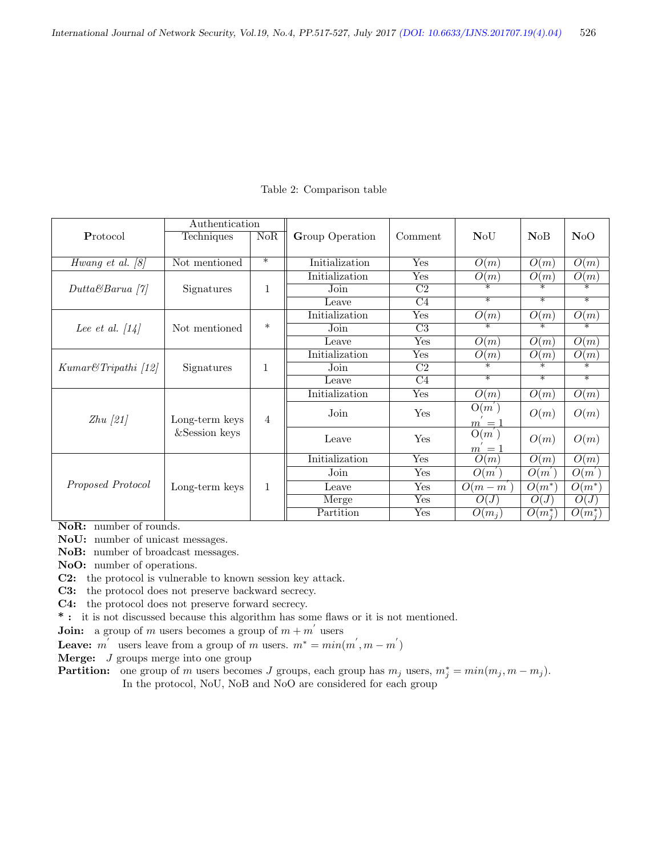|                                   | Authentication                  |        |                 |                        |                       |                       |                       |
|-----------------------------------|---------------------------------|--------|-----------------|------------------------|-----------------------|-----------------------|-----------------------|
| Protocol                          | Techniques                      | NoR    | Group Operation | Comment                | <b>NoU</b>            | NoB                   | NoO                   |
|                                   |                                 |        |                 |                        |                       |                       |                       |
| Hwang et al. $[8]$                | Not mentioned                   | $\ast$ | Initialization  | Yes                    | O(m)                  | O(m)                  | O(m)                  |
| $DuttaBBarua$ [7]                 | Signatures                      | 1      | Initialization  | Yes                    | O(m)                  | O(m)                  | O(m)                  |
|                                   |                                 |        | Join            | $\overline{\text{C2}}$ | ⋇                     | ⋇                     | $\overline{\ast}$     |
|                                   |                                 |        | Leave           | $\overline{C4}$        | $\overline{\ast}$     | $\overline{\ast}$     | $\overline{\ast}$     |
| Lee et al. $\left[14\right]$      | Not mentioned                   | $\ast$ | Initialization  | Yes                    | O(m)                  | O(m)                  | $\overline{O(m)}$     |
|                                   |                                 |        | Join            | $\overline{\text{C3}}$ | $\overline{\ast}$     | $\overline{\ast}$     | ⋇                     |
|                                   |                                 |        | Leave           | Yes                    | O(m)                  | O(m)                  | $\overline{O(m)}$     |
| $Kumar \mathcal{C} Tripathi$ [12] | Signatures                      | 1      | Initialization  | Yes                    | O(m)                  | O(m)                  | O(m)                  |
|                                   |                                 |        | Join            | $\overline{\text{C2}}$ | $\overline{\ast}$     | $\ast$                | ∗                     |
|                                   |                                 |        | Leave           | C <sub>4</sub>         | $\ast$                | $\ast$                | $\ast$                |
| $Zhu$ [21]                        | Long-term keys<br>&Session keys | 4      | Initialization  | Yes                    | O(m)                  | O(m)                  | O(m)                  |
|                                   |                                 |        | Join            | Yes                    | O(m)                  | O(m)                  | O(m)                  |
|                                   |                                 |        |                 |                        | $m = 1$<br>$O(m^{'})$ |                       |                       |
|                                   |                                 |        | Leave           | Yes                    | $m = 1$               | O(m)                  | O(m)                  |
| Proposed Protocol                 | Long-term keys                  | 1      | Initialization  | Yes                    | O(m)                  | $\overline{O(m)}$     | $\overline{O(m)}$     |
|                                   |                                 |        | Join            | Yes                    | O(m)                  | $O(m^{'})$            | $O(m^{'})$            |
|                                   |                                 |        | Leave           | Yes                    | $O(m-m)$              | $O(m^*)$              | $O(m^*)$              |
|                                   |                                 |        | Merge           | Yes                    | O(J)                  | O(J)                  | O(J)                  |
|                                   |                                 |        | Partition       | Yes                    | $O(m_j)$              | $\overline{O(m^*_i)}$ | $\overline{O(m^*_i)}$ |

Table 2: Comparison table

NoR: number of rounds.

NoU: number of unicast messages.

NoB: number of broadcast messages.

NoO: number of operations.

C2: the protocol is vulnerable to known session key attack.

C3: the protocol does not preserve backward secrecy.

C4: the protocol does not preserve forward secrecy.

\* : it is not discussed because this algorithm has some flaws or it is not mentioned.

**Join:** a group of m users becomes a group of  $m + m'$  users

**Leave:**  $m'$  users leave from a group of m users.  $m^* = min(m', m - m')$ 

Merge: J groups merge into one group

**Partition:** one group of m users becomes J groups, each group has  $m_j$  users,  $m_j^* = min(m_j, m - m_j)$ . In the protocol, NoU, NoB and NoO are considered for each group